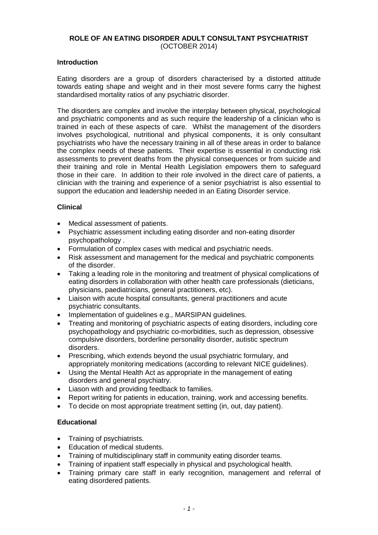# **ROLE OF AN EATING DISORDER ADULT CONSULTANT PSYCHIATRIST** (OCTOBER 2014)

### **Introduction**

Eating disorders are a group of disorders characterised by a distorted attitude towards eating shape and weight and in their most severe forms carry the highest standardised mortality ratios of any psychiatric disorder.

The disorders are complex and involve the interplay between physical, psychological and psychiatric components and as such require the leadership of a clinician who is trained in each of these aspects of care. Whilst the management of the disorders involves psychological, nutritional and physical components, it is only consultant psychiatrists who have the necessary training in all of these areas in order to balance the complex needs of these patients. Their expertise is essential in conducting risk assessments to prevent deaths from the physical consequences or from suicide and their training and role in Mental Health Legislation empowers them to safeguard those in their care. In addition to their role involved in the direct care of patients, a clinician with the training and experience of a senior psychiatrist is also essential to support the education and leadership needed in an Eating Disorder service.

# **Clinical**

- Medical assessment of patients.
- Psychiatric assessment including eating disorder and non-eating disorder psychopathology .
- Formulation of complex cases with medical and psychiatric needs.
- Risk assessment and management for the medical and psychiatric components of the disorder.
- Taking a leading role in the monitoring and treatment of physical complications of eating disorders in collaboration with other health care professionals (dieticians, physicians, paediatricians, general practitioners, etc).
- Liaison with acute hospital consultants, general practitioners and acute psychiatric consultants.
- Implementation of guidelines e.g., MARSIPAN guidelines.
- Treating and monitoring of psychiatric aspects of eating disorders, including core psychopathology and psychiatric co-morbidities, such as depression, obsessive compulsive disorders, borderline personality disorder, autistic spectrum disorders.
- Prescribing, which extends beyond the usual psychiatric formulary, and appropriately monitoring medications (according to relevant NICE guidelines).
- Using the Mental Health Act as appropriate in the management of eating disorders and general psychiatry.
- Liason with and providing feedback to families.
- Report writing for patients in education, training, work and accessing benefits.
- To decide on most appropriate treatment setting (in, out, day patient).

## **Educational**

- Training of psychiatrists.
- Education of medical students.
- Training of multidisciplinary staff in community eating disorder teams.
- Training of inpatient staff especially in physical and psychological health.
- Training primary care staff in early recognition, management and referral of eating disordered patients.